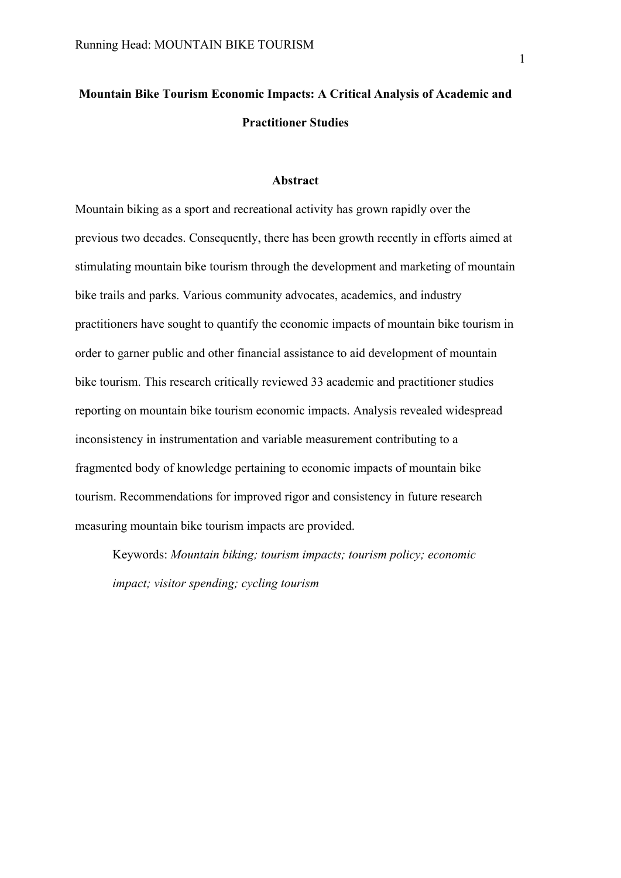# **Mountain Bike Tourism Economic Impacts: A Critical Analysis of Academic and Practitioner Studies**

### **Abstract**

Mountain biking as a sport and recreational activity has grown rapidly over the previous two decades. Consequently, there has been growth recently in efforts aimed at stimulating mountain bike tourism through the development and marketing of mountain bike trails and parks. Various community advocates, academics, and industry practitioners have sought to quantify the economic impacts of mountain bike tourism in order to garner public and other financial assistance to aid development of mountain bike tourism. This research critically reviewed 33 academic and practitioner studies reporting on mountain bike tourism economic impacts. Analysis revealed widespread inconsistency in instrumentation and variable measurement contributing to a fragmented body of knowledge pertaining to economic impacts of mountain bike tourism. Recommendations for improved rigor and consistency in future research measuring mountain bike tourism impacts are provided.

Keywords: *Mountain biking; tourism impacts; tourism policy; economic impact; visitor spending; cycling tourism*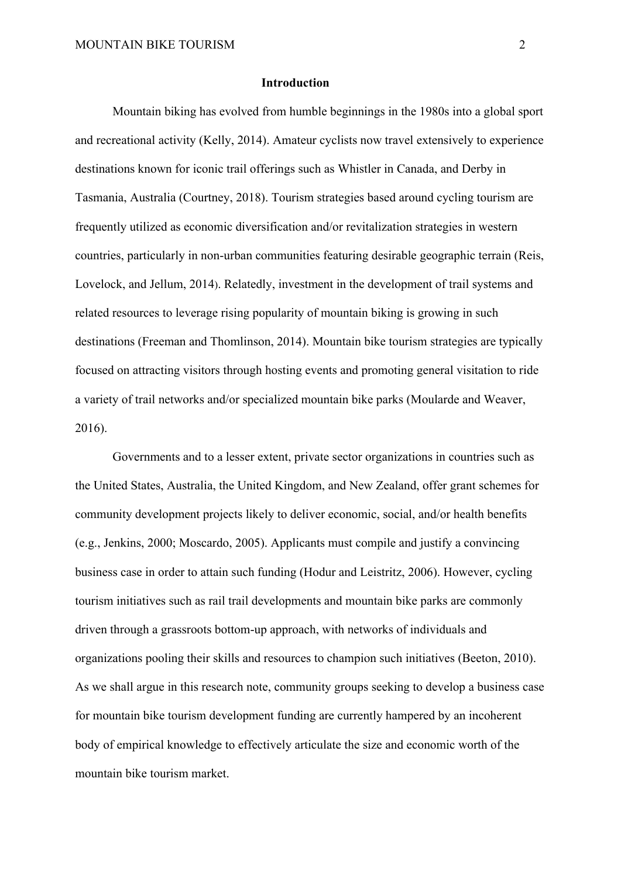#### **Introduction**

Mountain biking has evolved from humble beginnings in the 1980s into a global sport and recreational activity (Kelly, 2014). Amateur cyclists now travel extensively to experience destinations known for iconic trail offerings such as Whistler in Canada, and Derby in Tasmania, Australia (Courtney, 2018). Tourism strategies based around cycling tourism are frequently utilized as economic diversification and/or revitalization strategies in western countries, particularly in non-urban communities featuring desirable geographic terrain (Reis, Lovelock, and Jellum, 2014). Relatedly, investment in the development of trail systems and related resources to leverage rising popularity of mountain biking is growing in such destinations (Freeman and Thomlinson, 2014). Mountain bike tourism strategies are typically focused on attracting visitors through hosting events and promoting general visitation to ride a variety of trail networks and/or specialized mountain bike parks (Moularde and Weaver, 2016).

Governments and to a lesser extent, private sector organizations in countries such as the United States, Australia, the United Kingdom, and New Zealand, offer grant schemes for community development projects likely to deliver economic, social, and/or health benefits (e.g., Jenkins, 2000; Moscardo, 2005). Applicants must compile and justify a convincing business case in order to attain such funding (Hodur and Leistritz, 2006). However, cycling tourism initiatives such as rail trail developments and mountain bike parks are commonly driven through a grassroots bottom-up approach, with networks of individuals and organizations pooling their skills and resources to champion such initiatives (Beeton, 2010). As we shall argue in this research note, community groups seeking to develop a business case for mountain bike tourism development funding are currently hampered by an incoherent body of empirical knowledge to effectively articulate the size and economic worth of the mountain bike tourism market.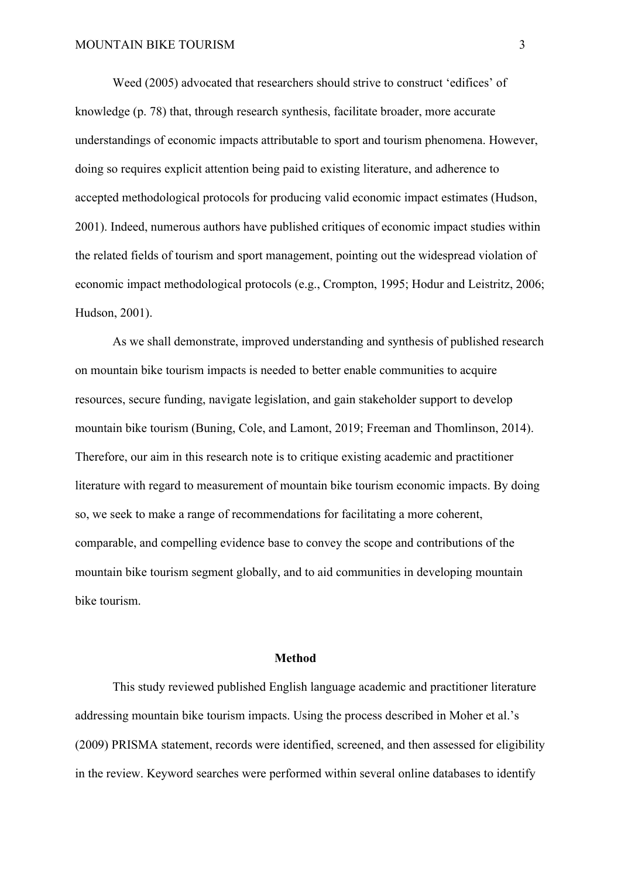Weed (2005) advocated that researchers should strive to construct 'edifices' of knowledge (p. 78) that, through research synthesis, facilitate broader, more accurate understandings of economic impacts attributable to sport and tourism phenomena. However, doing so requires explicit attention being paid to existing literature, and adherence to accepted methodological protocols for producing valid economic impact estimates (Hudson, 2001). Indeed, numerous authors have published critiques of economic impact studies within the related fields of tourism and sport management, pointing out the widespread violation of economic impact methodological protocols (e.g., Crompton, 1995; Hodur and Leistritz, 2006; Hudson, 2001).

As we shall demonstrate, improved understanding and synthesis of published research on mountain bike tourism impacts is needed to better enable communities to acquire resources, secure funding, navigate legislation, and gain stakeholder support to develop mountain bike tourism (Buning, Cole, and Lamont, 2019; Freeman and Thomlinson, 2014). Therefore, our aim in this research note is to critique existing academic and practitioner literature with regard to measurement of mountain bike tourism economic impacts. By doing so, we seek to make a range of recommendations for facilitating a more coherent, comparable, and compelling evidence base to convey the scope and contributions of the mountain bike tourism segment globally, and to aid communities in developing mountain bike tourism.

#### **Method**

This study reviewed published English language academic and practitioner literature addressing mountain bike tourism impacts. Using the process described in Moher et al.'s (2009) PRISMA statement, records were identified, screened, and then assessed for eligibility in the review. Keyword searches were performed within several online databases to identify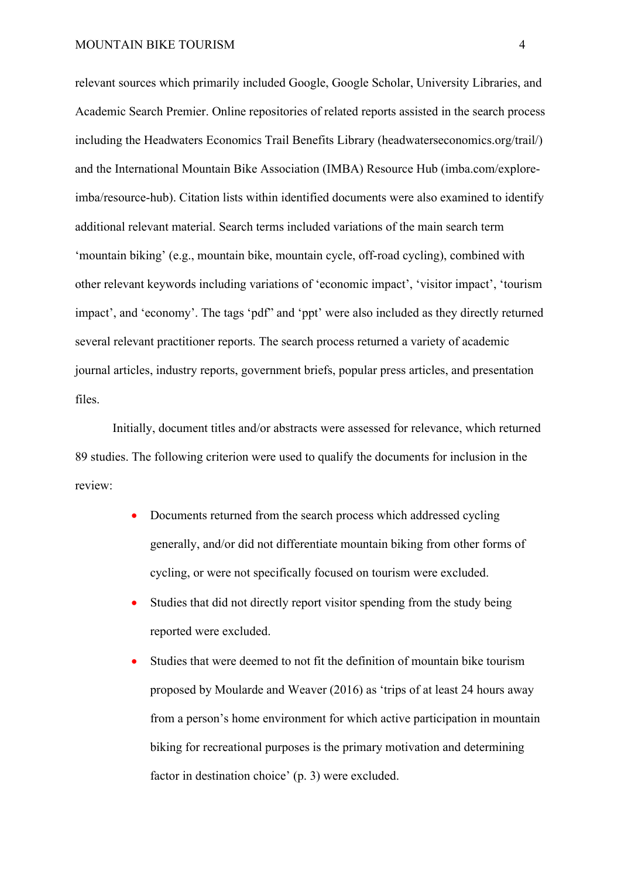relevant sources which primarily included Google, Google Scholar, University Libraries, and Academic Search Premier. Online repositories of related reports assisted in the search process including the Headwaters Economics Trail Benefits Library (headwaterseconomics.org/trail/) and the International Mountain Bike Association (IMBA) Resource Hub (imba.com/exploreimba/resource-hub). Citation lists within identified documents were also examined to identify additional relevant material. Search terms included variations of the main search term 'mountain biking' (e.g., mountain bike, mountain cycle, off-road cycling), combined with other relevant keywords including variations of 'economic impact', 'visitor impact', 'tourism impact', and 'economy'. The tags 'pdf" and 'ppt' were also included as they directly returned several relevant practitioner reports. The search process returned a variety of academic journal articles, industry reports, government briefs, popular press articles, and presentation files.

Initially, document titles and/or abstracts were assessed for relevance, which returned 89 studies. The following criterion were used to qualify the documents for inclusion in the review:

- Documents returned from the search process which addressed cycling generally, and/or did not differentiate mountain biking from other forms of cycling, or were not specifically focused on tourism were excluded.
- Studies that did not directly report visitor spending from the study being reported were excluded.
- Studies that were deemed to not fit the definition of mountain bike tourism proposed by Moularde and Weaver (2016) as 'trips of at least 24 hours away from a person's home environment for which active participation in mountain biking for recreational purposes is the primary motivation and determining factor in destination choice' (p. 3) were excluded.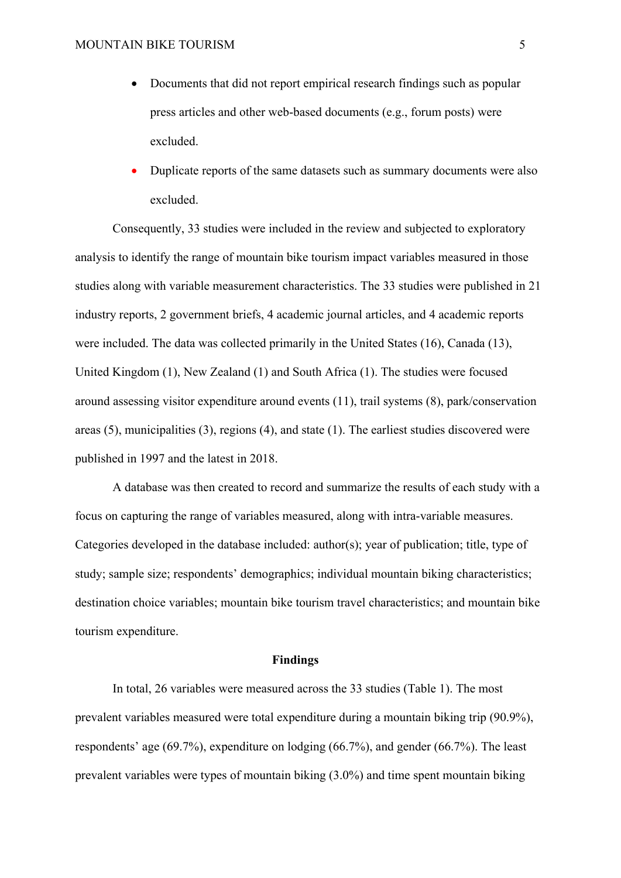- Documents that did not report empirical research findings such as popular press articles and other web-based documents (e.g., forum posts) were excluded.
- Duplicate reports of the same datasets such as summary documents were also excluded.

Consequently, 33 studies were included in the review and subjected to exploratory analysis to identify the range of mountain bike tourism impact variables measured in those studies along with variable measurement characteristics. The 33 studies were published in 21 industry reports, 2 government briefs, 4 academic journal articles, and 4 academic reports were included. The data was collected primarily in the United States (16), Canada (13), United Kingdom (1), New Zealand (1) and South Africa (1). The studies were focused around assessing visitor expenditure around events (11), trail systems (8), park/conservation areas (5), municipalities (3), regions (4), and state (1). The earliest studies discovered were published in 1997 and the latest in 2018.

A database was then created to record and summarize the results of each study with a focus on capturing the range of variables measured, along with intra-variable measures. Categories developed in the database included: author(s); year of publication; title, type of study; sample size; respondents' demographics; individual mountain biking characteristics; destination choice variables; mountain bike tourism travel characteristics; and mountain bike tourism expenditure.

#### **Findings**

In total, 26 variables were measured across the 33 studies (Table 1). The most prevalent variables measured were total expenditure during a mountain biking trip (90.9%), respondents' age (69.7%), expenditure on lodging (66.7%), and gender (66.7%). The least prevalent variables were types of mountain biking (3.0%) and time spent mountain biking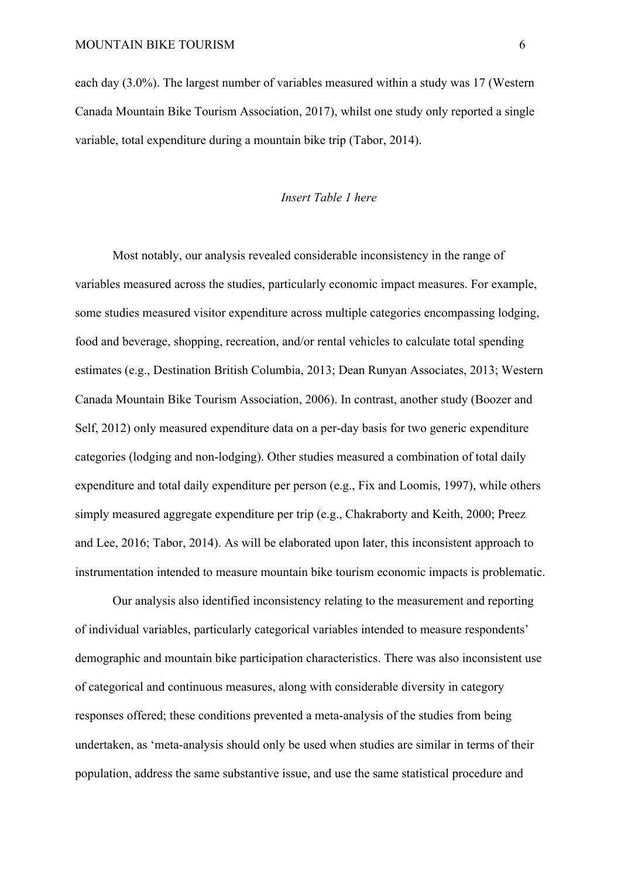each day (3.0%). The largest number of variables measured within a study was 17 (Western Canada Mountain Bike Tourism Association, 2017), whilst one study only reported a single variable, total expenditure during a mountain bike trip (Tabor, 2014).

#### *Insert Table 1 here*

Most notably, our analysis revealed considerable inconsistency in the range of variables measured across the studies, particularly economic impact measures. For example, some studies measured visitor expenditure across multiple categories encompassing lodging, food and beverage, shopping, recreation, and/or rental vehicles to calculate total spending estimates (e.g., Destination British Columbia, 2013; Dean Runyan Associates, 2013; Western Canada Mountain Bike Tourism Association, 2006). In contrast, another study (Boozer and Self, 2012) only measured expenditure data on a per-day basis for two generic expenditure categories (lodging and non-lodging). Other studies measured a combination of total daily expenditure and total daily expenditure per person (e.g., Fix and Loomis, 1997), while others simply measured aggregate expenditure per trip (e.g., Chakraborty and Keith, 2000; Preez and Lee, 2016; Tabor, 2014). As will be elaborated upon later, this inconsistent approach to instrumentation intended to measure mountain bike tourism economic impacts is problematic.

Our analysis also identified inconsistency relating to the measurement and reporting of individual variables, particularly categorical variables intended to measure respondents' demographic and mountain bike participation characteristics. There was also inconsistent use of categorical and continuous measures, along with considerable diversity in category responses offered; these conditions prevented a meta-analysis of the studies from being undertaken, as 'meta-analysis should only be used when studies are similar in terms of their population, address the same substantive issue, and use the same statistical procedure and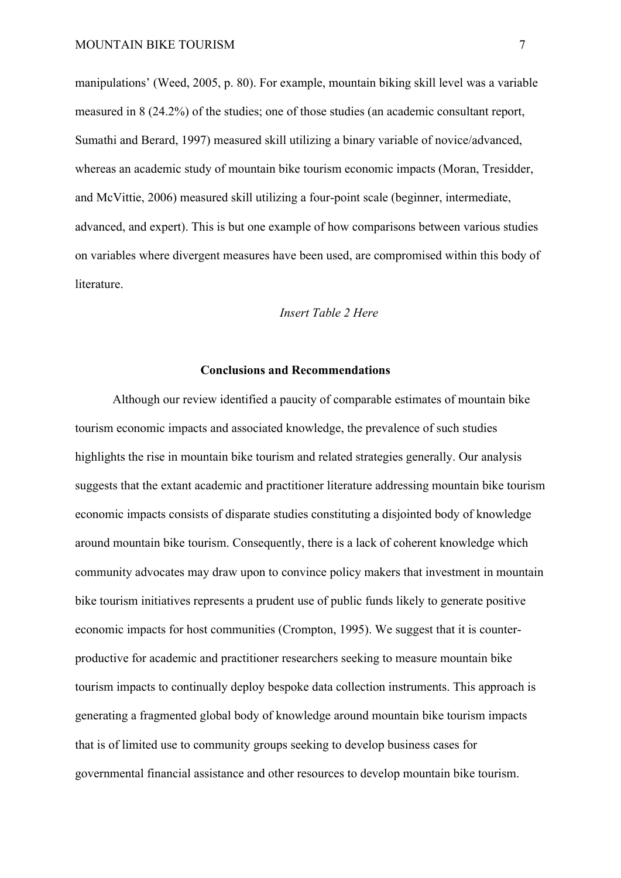manipulations' (Weed, 2005, p. 80). For example, mountain biking skill level was a variable measured in 8 (24.2%) of the studies; one of those studies (an academic consultant report, Sumathi and Berard, 1997) measured skill utilizing a binary variable of novice/advanced, whereas an academic study of mountain bike tourism economic impacts (Moran, Tresidder, and McVittie, 2006) measured skill utilizing a four-point scale (beginner, intermediate, advanced, and expert). This is but one example of how comparisons between various studies on variables where divergent measures have been used, are compromised within this body of literature.

#### *Insert Table 2 Here*

### **Conclusions and Recommendations**

Although our review identified a paucity of comparable estimates of mountain bike tourism economic impacts and associated knowledge, the prevalence of such studies highlights the rise in mountain bike tourism and related strategies generally. Our analysis suggests that the extant academic and practitioner literature addressing mountain bike tourism economic impacts consists of disparate studies constituting a disjointed body of knowledge around mountain bike tourism. Consequently, there is a lack of coherent knowledge which community advocates may draw upon to convince policy makers that investment in mountain bike tourism initiatives represents a prudent use of public funds likely to generate positive economic impacts for host communities (Crompton, 1995). We suggest that it is counterproductive for academic and practitioner researchers seeking to measure mountain bike tourism impacts to continually deploy bespoke data collection instruments. This approach is generating a fragmented global body of knowledge around mountain bike tourism impacts that is of limited use to community groups seeking to develop business cases for governmental financial assistance and other resources to develop mountain bike tourism.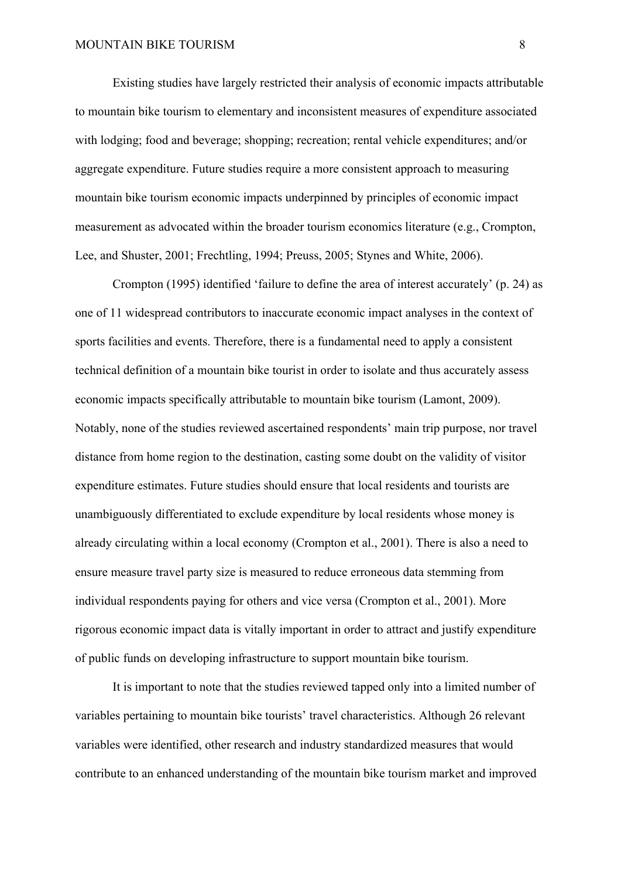Existing studies have largely restricted their analysis of economic impacts attributable to mountain bike tourism to elementary and inconsistent measures of expenditure associated with lodging; food and beverage; shopping; recreation; rental vehicle expenditures; and/or aggregate expenditure. Future studies require a more consistent approach to measuring mountain bike tourism economic impacts underpinned by principles of economic impact measurement as advocated within the broader tourism economics literature (e.g., Crompton, Lee, and Shuster, 2001; Frechtling, 1994; Preuss, 2005; Stynes and White, 2006).

Crompton (1995) identified 'failure to define the area of interest accurately' (p. 24) as one of 11 widespread contributors to inaccurate economic impact analyses in the context of sports facilities and events. Therefore, there is a fundamental need to apply a consistent technical definition of a mountain bike tourist in order to isolate and thus accurately assess economic impacts specifically attributable to mountain bike tourism (Lamont, 2009). Notably, none of the studies reviewed ascertained respondents' main trip purpose, nor travel distance from home region to the destination, casting some doubt on the validity of visitor expenditure estimates. Future studies should ensure that local residents and tourists are unambiguously differentiated to exclude expenditure by local residents whose money is already circulating within a local economy (Crompton et al., 2001). There is also a need to ensure measure travel party size is measured to reduce erroneous data stemming from individual respondents paying for others and vice versa (Crompton et al., 2001). More rigorous economic impact data is vitally important in order to attract and justify expenditure of public funds on developing infrastructure to support mountain bike tourism.

It is important to note that the studies reviewed tapped only into a limited number of variables pertaining to mountain bike tourists' travel characteristics. Although 26 relevant variables were identified, other research and industry standardized measures that would contribute to an enhanced understanding of the mountain bike tourism market and improved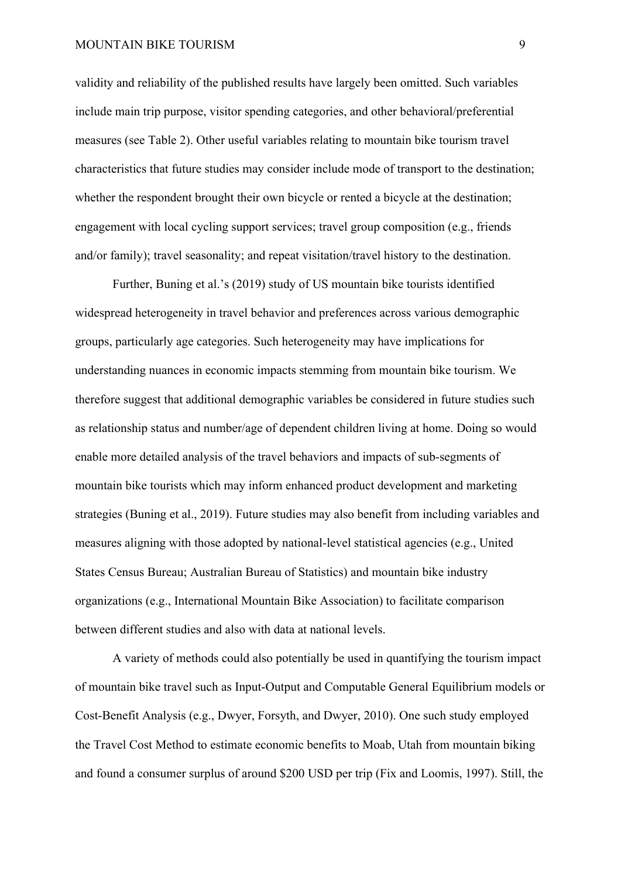validity and reliability of the published results have largely been omitted. Such variables include main trip purpose, visitor spending categories, and other behavioral/preferential measures (see Table 2). Other useful variables relating to mountain bike tourism travel characteristics that future studies may consider include mode of transport to the destination; whether the respondent brought their own bicycle or rented a bicycle at the destination; engagement with local cycling support services; travel group composition (e.g., friends and/or family); travel seasonality; and repeat visitation/travel history to the destination.

Further, Buning et al.'s (2019) study of US mountain bike tourists identified widespread heterogeneity in travel behavior and preferences across various demographic groups, particularly age categories. Such heterogeneity may have implications for understanding nuances in economic impacts stemming from mountain bike tourism. We therefore suggest that additional demographic variables be considered in future studies such as relationship status and number/age of dependent children living at home. Doing so would enable more detailed analysis of the travel behaviors and impacts of sub-segments of mountain bike tourists which may inform enhanced product development and marketing strategies (Buning et al., 2019). Future studies may also benefit from including variables and measures aligning with those adopted by national-level statistical agencies (e.g., United States Census Bureau; Australian Bureau of Statistics) and mountain bike industry organizations (e.g., International Mountain Bike Association) to facilitate comparison between different studies and also with data at national levels.

A variety of methods could also potentially be used in quantifying the tourism impact of mountain bike travel such as Input-Output and Computable General Equilibrium models or Cost-Benefit Analysis (e.g., Dwyer, Forsyth, and Dwyer, 2010). One such study employed the Travel Cost Method to estimate economic benefits to Moab, Utah from mountain biking and found a consumer surplus of around \$200 USD per trip (Fix and Loomis, 1997). Still, the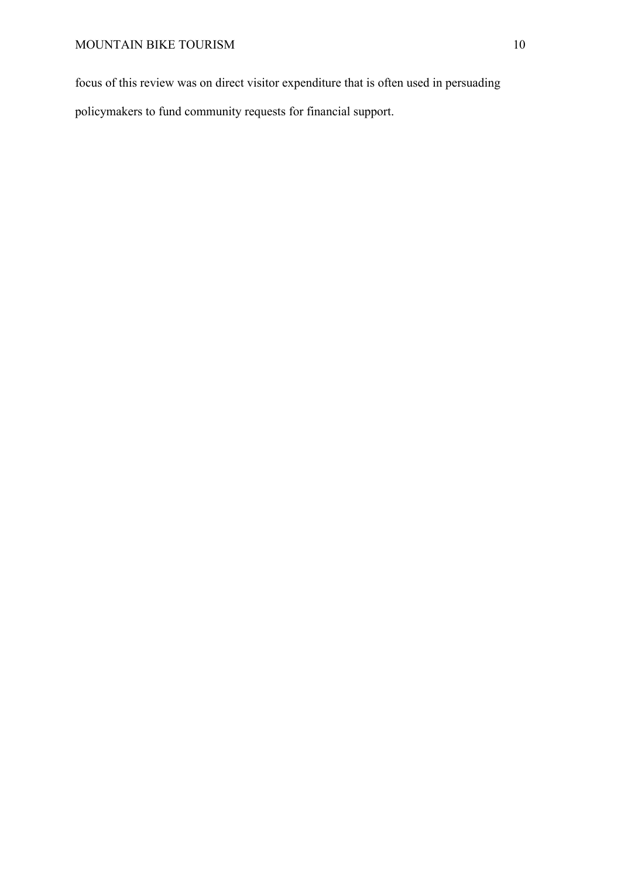focus of this review was on direct visitor expenditure that is often used in persuading

policymakers to fund community requests for financial support.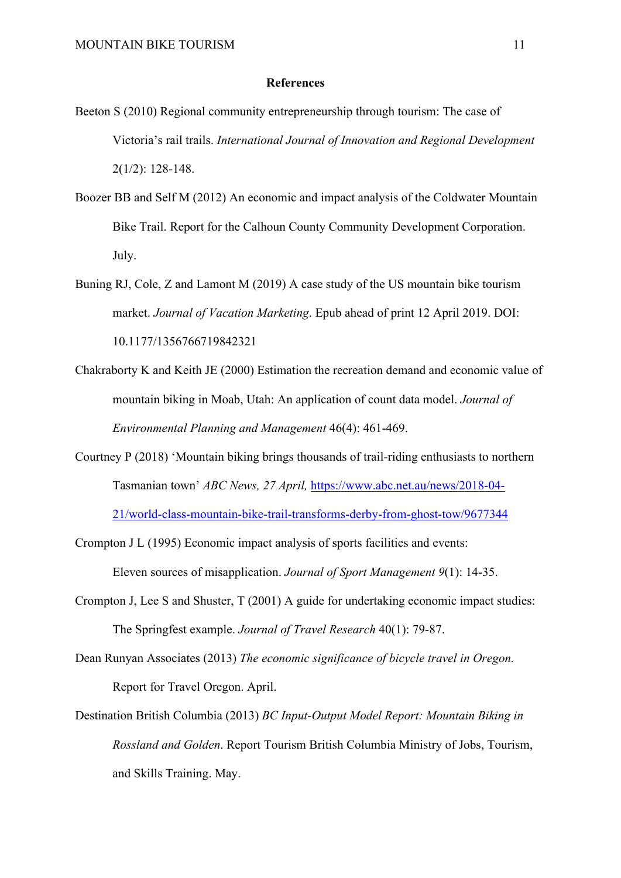#### **References**

- Beeton S (2010) Regional community entrepreneurship through tourism: The case of Victoria's rail trails. *International Journal of Innovation and Regional Development* 2(1/2): 128-148.
- Boozer BB and Self M (2012) An economic and impact analysis of the Coldwater Mountain Bike Trail. Report for the Calhoun County Community Development Corporation. July.
- Buning RJ, Cole, Z and Lamont M (2019) A case study of the US mountain bike tourism market. *Journal of Vacation Marketing*. Epub ahead of print 12 April 2019. DOI: 10.1177/1356766719842321
- Chakraborty K and Keith JE (2000) Estimation the recreation demand and economic value of mountain biking in Moab, Utah: An application of count data model. *Journal of Environmental Planning and Management* 46(4): 461-469.
- Courtney P (2018) 'Mountain biking brings thousands of trail-riding enthusiasts to northern Tasmanian town' *ABC News, 27 April,* [https://www.abc.net.au/news/2018-04-](https://www.abc.net.au/news/2018-04-21/world-class-mountain-bike-trail-transforms-derby-from-ghost-tow/9677344)

[21/world-class-mountain-bike-trail-transforms-derby-from-ghost-tow/9677344](https://www.abc.net.au/news/2018-04-21/world-class-mountain-bike-trail-transforms-derby-from-ghost-tow/9677344)

- Crompton J L (1995) Economic impact analysis of sports facilities and events: Eleven sources of misapplication. *Journal of Sport Management 9*(1): 14-35.
- Crompton J, Lee S and Shuster, T (2001) A guide for undertaking economic impact studies: The Springfest example. *Journal of Travel Research* 40(1): 79-87.
- Dean Runyan Associates (2013) *The economic significance of bicycle travel in Oregon.* Report for Travel Oregon. April.
- Destination British Columbia (2013) *BC Input-Output Model Report: Mountain Biking in Rossland and Golden*. Report Tourism British Columbia Ministry of Jobs, Tourism, and Skills Training. May.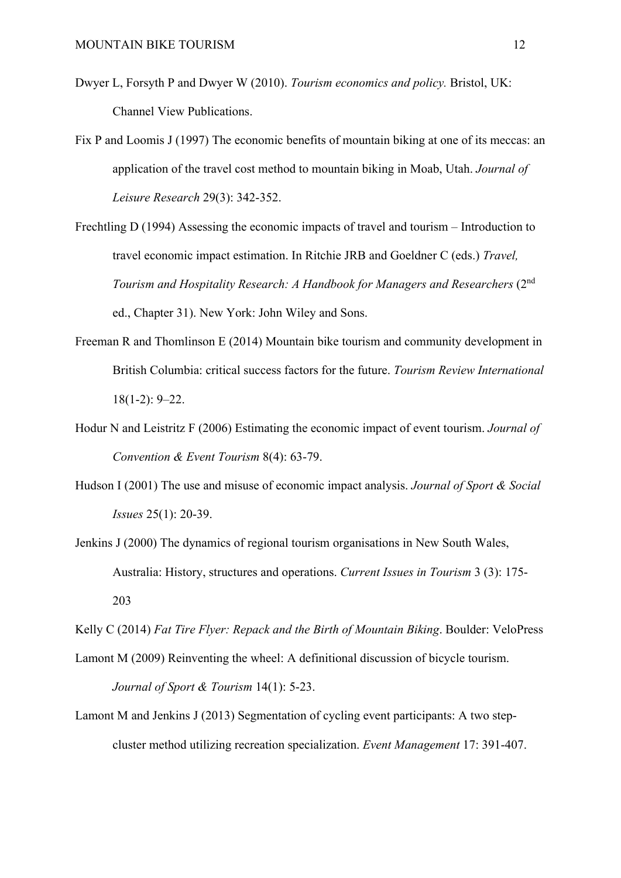- Dwyer L, Forsyth P and Dwyer W (2010). *Tourism economics and policy.* Bristol, UK: Channel View Publications.
- Fix P and Loomis J (1997) The economic benefits of mountain biking at one of its meccas: an application of the travel cost method to mountain biking in Moab, Utah. *Journal of Leisure Research* 29(3): 342-352.
- Frechtling D (1994) Assessing the economic impacts of travel and tourism Introduction to travel economic impact estimation. In Ritchie JRB and Goeldner C (eds.) *Travel, Tourism and Hospitality Research: A Handbook for Managers and Researchers* (2nd ed., Chapter 31). New York: John Wiley and Sons.
- Freeman R and Thomlinson E (2014) Mountain bike tourism and community development in British Columbia: critical success factors for the future. *Tourism Review International*  18(1-2): 9–22.
- Hodur N and Leistritz F (2006) Estimating the economic impact of event tourism. *Journal of Convention & Event Tourism* 8(4): 63-79.
- Hudson I (2001) The use and misuse of economic impact analysis. *Journal of Sport & Social Issues* 25(1): 20-39.
- Jenkins J (2000) The dynamics of regional tourism organisations in New South Wales, Australia: History, structures and operations. *Current Issues in Tourism* 3 (3): 175- 203

Kelly C (2014) *Fat Tire Flyer: Repack and the Birth of Mountain Biking*. Boulder: VeloPress

- Lamont M (2009) Reinventing the wheel: A definitional discussion of bicycle tourism. *Journal of Sport & Tourism* 14(1): 5-23.
- Lamont M and Jenkins J (2013) Segmentation of cycling event participants: A two stepcluster method utilizing recreation specialization. *Event Management* 17: 391-407.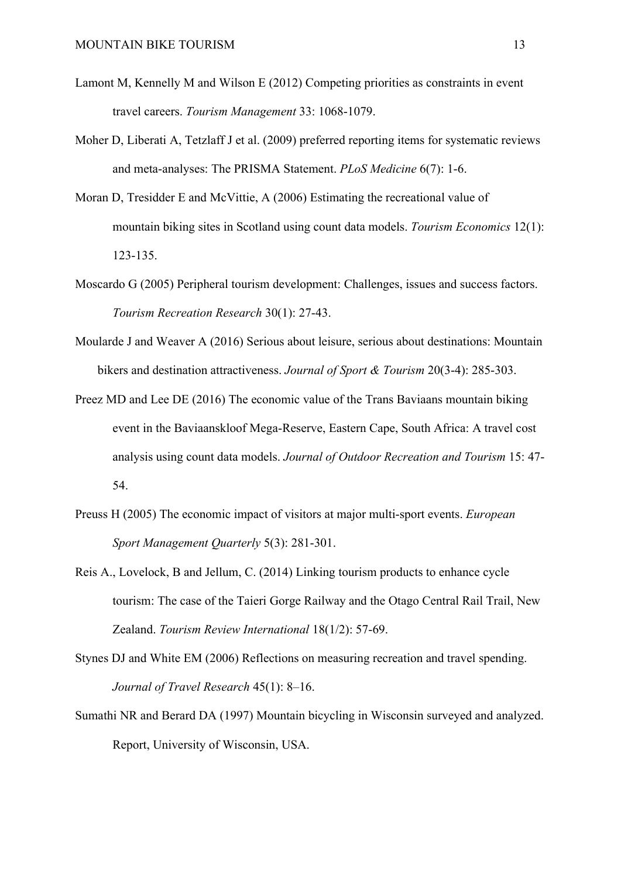- Lamont M, Kennelly M and Wilson E (2012) Competing priorities as constraints in event travel careers. *Tourism Management* 33: 1068-1079.
- Moher D, Liberati A, Tetzlaff J et al. (2009) preferred reporting items for systematic reviews and meta-analyses: The PRISMA Statement. *PLoS Medicine* 6(7): 1-6.
- Moran D, Tresidder E and McVittie, A (2006) Estimating the recreational value of mountain biking sites in Scotland using count data models. *Tourism Economics* 12(1): 123-135.
- Moscardo G (2005) Peripheral tourism development: Challenges, issues and success factors. *Tourism Recreation Research* 30(1): 27-43.
- Moularde J and Weaver A (2016) Serious about leisure, serious about destinations: Mountain bikers and destination attractiveness. *Journal of Sport & Tourism* 20(3-4): 285-303.
- Preez MD and Lee DE (2016) The economic value of the Trans Baviaans mountain biking event in the Baviaanskloof Mega-Reserve, Eastern Cape, South Africa: A travel cost analysis using count data models. *Journal of Outdoor Recreation and Tourism* 15: 47- 54.
- Preuss H (2005) The economic impact of visitors at major multi-sport events. *European Sport Management Quarterly* 5(3): 281-301.
- Reis A., Lovelock, B and Jellum, C. (2014) Linking tourism products to enhance cycle tourism: The case of the Taieri Gorge Railway and the Otago Central Rail Trail, New Zealand. *Tourism Review International* 18(1/2): 57-69.
- Stynes DJ and White EM (2006) Reflections on measuring recreation and travel spending. *Journal of Travel Research* 45(1): 8–16.
- Sumathi NR and Berard DA (1997) Mountain bicycling in Wisconsin surveyed and analyzed. Report, University of Wisconsin, USA.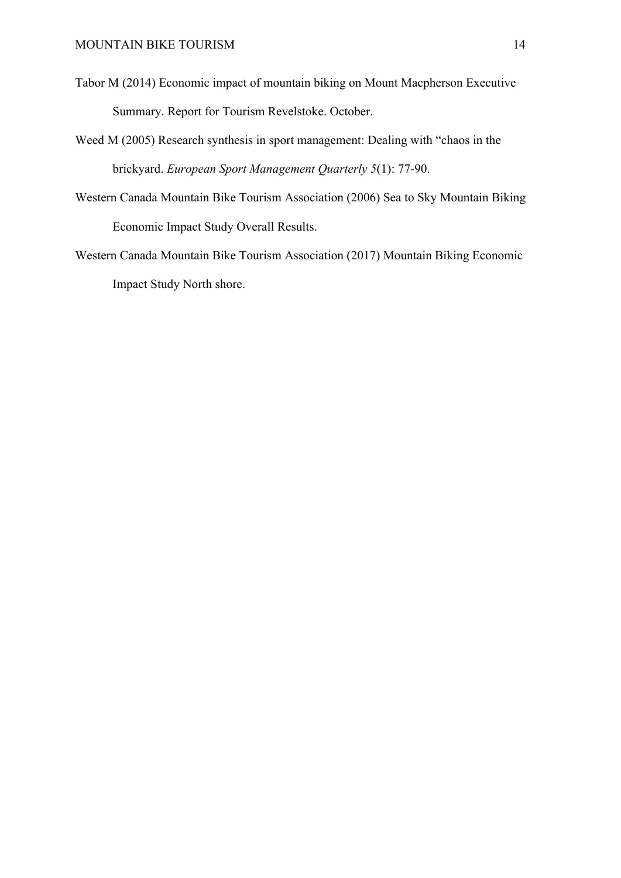- Tabor M (2014) Economic impact of mountain biking on Mount Macpherson Executive Summary. Report for Tourism Revelstoke. October.
- Weed M (2005) Research synthesis in sport management: Dealing with "chaos in the brickyard. *European Sport Management Quarterly 5*(1): 77-90.
- Western Canada Mountain Bike Tourism Association (2006) Sea to Sky Mountain Biking Economic Impact Study Overall Results.
- Western Canada Mountain Bike Tourism Association (2017) Mountain Biking Economic Impact Study North shore.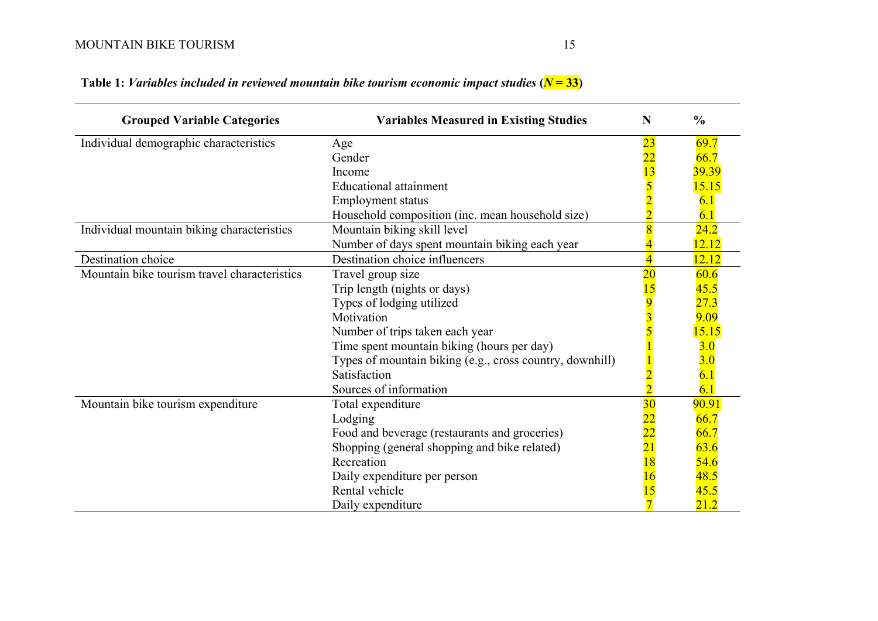| <b>Grouped Variable Categories</b>           | <b>Variables Measured in Existing Studies</b>            | N               | $\frac{0}{0}$ |
|----------------------------------------------|----------------------------------------------------------|-----------------|---------------|
| Individual demographic characteristics       | Age                                                      | <mark>23</mark> | 69.7          |
|                                              | Gender                                                   | $\overline{22}$ | 66.7          |
|                                              | Income                                                   | $\overline{13}$ | 39.39         |
|                                              | <b>Educational attainment</b>                            |                 | <b>15.15</b>  |
|                                              | <b>Employment status</b>                                 |                 | 6.1           |
|                                              | Household composition (inc. mean household size)         |                 | 6.1           |
| Individual mountain biking characteristics   | Mountain biking skill level                              |                 | 24.2          |
|                                              | Number of days spent mountain biking each year           |                 | 12.12         |
| Destination choice                           | Destination choice influencers                           |                 | 12.12         |
| Mountain bike tourism travel characteristics | Travel group size                                        | $\overline{20}$ | 60.6          |
|                                              | Trip length (nights or days)                             |                 | 45.5          |
|                                              | Types of lodging utilized                                |                 | 27.3          |
|                                              | Motivation                                               |                 | 9.09          |
|                                              | Number of trips taken each year                          |                 | 15.15         |
|                                              | Time spent mountain biking (hours per day)               |                 | 3.0           |
|                                              | Types of mountain biking (e.g., cross country, downhill) |                 | 3.0           |
|                                              | Satisfaction                                             |                 | 6.1           |
|                                              | Sources of information                                   |                 | 6.1           |
| Mountain bike tourism expenditure            | Total expenditure                                        | $\overline{30}$ | 90.91         |
|                                              | Lodging                                                  |                 | 66.7          |
|                                              | Food and beverage (restaurants and groceries)            | $\overline{22}$ | 66.7          |
|                                              | Shopping (general shopping and bike related)             | $\overline{21}$ | 63.6          |
|                                              | Recreation                                               | 18              | 54.6          |
|                                              | Daily expenditure per person                             |                 | 48.5          |
|                                              | Rental vehicle                                           | 15              | 45.5          |
|                                              | Daily expenditure                                        |                 | 21.2          |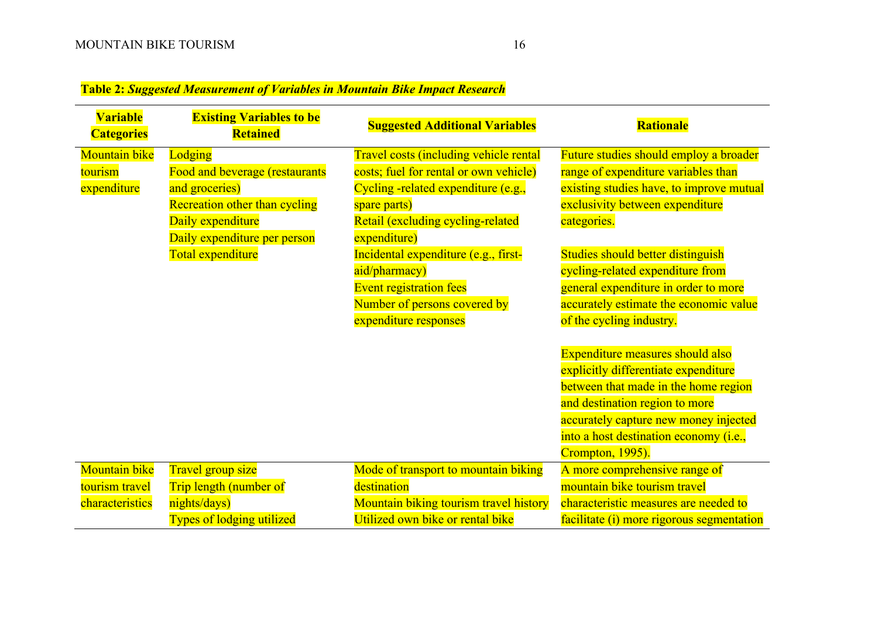# **Table 2:** *Suggested Measurement of Variables in Mountain Bike Impact Research*

| <b>Variable</b><br><b>Categories</b> | <b>Existing Variables to be</b><br><b>Retained</b> | <b>Suggested Additional Variables</b>  | <b>Rationale</b>                          |
|--------------------------------------|----------------------------------------------------|----------------------------------------|-------------------------------------------|
| Mountain bike                        | Lodging                                            | Travel costs (including vehicle rental | Future studies should employ a broader    |
| tourism                              | Food and beverage (restaurants                     | costs; fuel for rental or own vehicle) | range of expenditure variables than       |
| expenditure                          | and groceries)                                     | Cycling -related expenditure (e.g.,    | existing studies have, to improve mutual  |
|                                      | <b>Recreation other than cycling</b>               | spare parts)                           | exclusivity between expenditure           |
|                                      | Daily expenditure                                  | Retail (excluding cycling-related      | categories.                               |
|                                      | Daily expenditure per person                       | expenditure)                           |                                           |
|                                      | Total expenditure                                  | Incidental expenditure (e.g., first-   | Studies should better distinguish         |
|                                      |                                                    | aid/pharmacy)                          | cycling-related expenditure from          |
|                                      |                                                    | <b>Event registration fees</b>         | general expenditure in order to more      |
|                                      |                                                    | Number of persons covered by           | accurately estimate the economic value    |
|                                      |                                                    | expenditure responses                  | of the cycling industry.                  |
|                                      |                                                    |                                        |                                           |
|                                      |                                                    |                                        | Expenditure measures should also          |
|                                      |                                                    |                                        | explicitly differentiate expenditure      |
|                                      |                                                    |                                        | between that made in the home region      |
|                                      |                                                    |                                        | and destination region to more            |
|                                      |                                                    |                                        | accurately capture new money injected     |
|                                      |                                                    |                                        | into a host destination economy (i.e.,    |
|                                      |                                                    |                                        | Crompton, 1995).                          |
| <b>Mountain bike</b>                 | Travel group size                                  | Mode of transport to mountain biking   | A more comprehensive range of             |
| tourism travel                       | Trip length (number of                             | destination                            | mountain bike tourism travel              |
| characteristics                      | nights/days)                                       | Mountain biking tourism travel history | characteristic measures are needed to     |
|                                      | <b>Types of lodging utilized</b>                   | Utilized own bike or rental bike       | facilitate (i) more rigorous segmentation |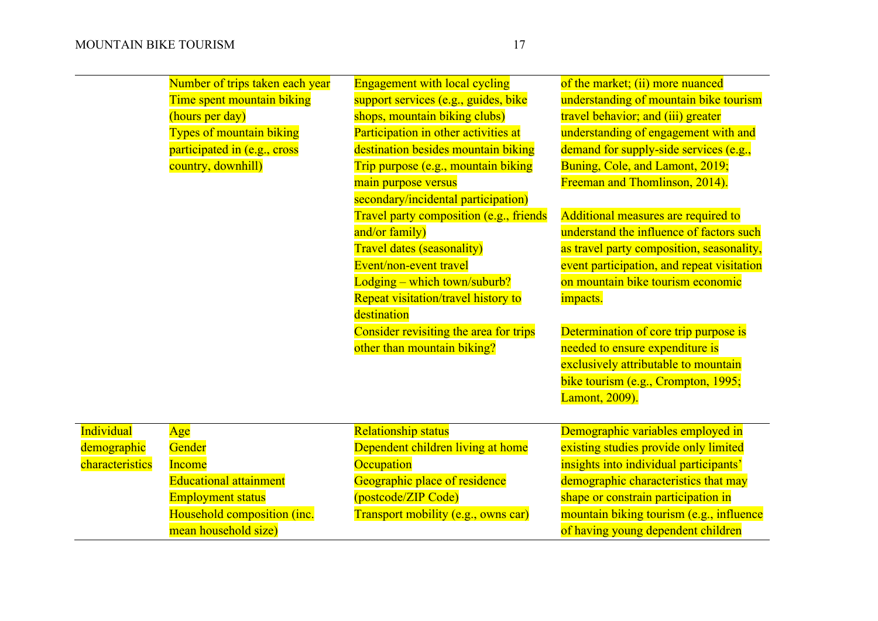| Number of trips taken each year |
|---------------------------------|
| Time spent mountain biking      |
| (hours per day)                 |
| <b>Types of mountain biking</b> |
| participated in (e.g., cross    |
| country, downhill)              |
|                                 |

Engagement with local cycling support services (e.g., guides, bike shops, mountain biking clubs) Participation in other activities at destination besides mountain biking Trip purpose (e.g., mountain biking main purpose versus secondary/incidental participation) Travel party composition (e.g., friends and/or family) Travel dates (seasonality) Event/non-event travel Lodging – which town/suburb? Repeat visitation/travel history to destination Consider revisiting the area for trips other than mountain biking?

of the market; (ii) more nuanced understanding of mountain bike tourism travel behavior; and (iii) greater understanding of engagement with and demand for supply-side services (e.g., Buning, Cole, and Lamont, 2019; Freeman and Thomlinson, 2014).

Additional measures are required to understand the influence of factors such as travel party composition, seasonality, event participation, and repeat visitation on mountain bike tourism economic impacts.

Determination of core trip purpose is needed to ensure expenditure is exclusively attributable to mountain bike tourism (e.g., Crompton, 1995; Lamont, 2009).

| <b>Individual</b> | Age                           | <b>Relationship status</b>          | Demographic variables employed in        |
|-------------------|-------------------------------|-------------------------------------|------------------------------------------|
| demographic       | Gender                        | Dependent children living at home   | existing studies provide only limited    |
| characteristics   | <b>Income</b>                 | <b>Occupation</b>                   | insights into individual participants'   |
|                   | <b>Educational attainment</b> | Geographic place of residence       | demographic characteristics that may     |
|                   | <b>Employment status</b>      | (postcode/ZIP Code)                 | shape or constrain participation in      |
|                   | Household composition (inc.   | Transport mobility (e.g., owns car) | mountain biking tourism (e.g., influence |
|                   | mean household size)          |                                     | of having young dependent children       |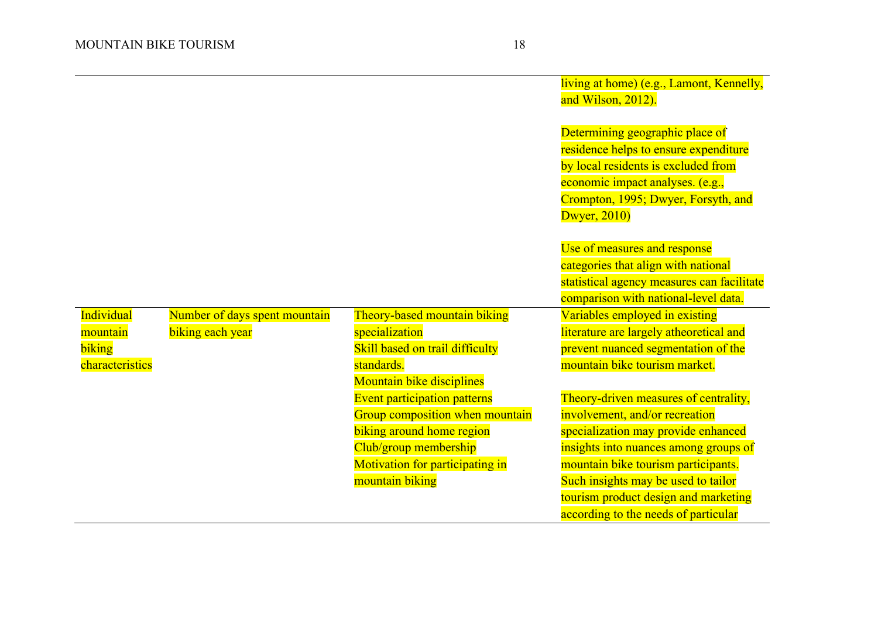|                 |                               |                                 | living at home) (e.g., Lamont, Kennelly,   |
|-----------------|-------------------------------|---------------------------------|--------------------------------------------|
|                 |                               |                                 | and Wilson, 2012).                         |
|                 |                               |                                 |                                            |
|                 |                               |                                 | Determining geographic place of            |
|                 |                               |                                 | residence helps to ensure expenditure      |
|                 |                               |                                 | by local residents is excluded from        |
|                 |                               |                                 | economic impact analyses. (e.g.,           |
|                 |                               |                                 | Crompton, 1995; Dwyer, Forsyth, and        |
|                 |                               |                                 | Dwyer, $2010$                              |
|                 |                               |                                 |                                            |
|                 |                               |                                 | Use of measures and response               |
|                 |                               |                                 | categories that align with national        |
|                 |                               |                                 | statistical agency measures can facilitate |
|                 |                               |                                 | comparison with national-level data.       |
| Individual      | Number of days spent mountain | Theory-based mountain biking    | Variables employed in existing             |
| mountain        | biking each year              | specialization                  | literature are largely atheoretical and    |
| biking          |                               | Skill based on trail difficulty | prevent nuanced segmentation of the        |
| characteristics |                               | standards.                      | mountain bike tourism market.              |
|                 |                               | Mountain bike disciplines       |                                            |
|                 |                               | Event participation patterns    | Theory-driven measures of centrality,      |
|                 |                               | Group composition when mountain | involvement, and/or recreation             |
|                 |                               | biking around home region       | specialization may provide enhanced        |
|                 |                               | Club/group membership           | insights into nuances among groups of      |
|                 |                               | Motivation for participating in | mountain bike tourism participants.        |
|                 |                               | mountain biking                 | Such insights may be used to tailor        |
|                 |                               |                                 | tourism product design and marketing       |
|                 |                               |                                 | according to the needs of particular       |